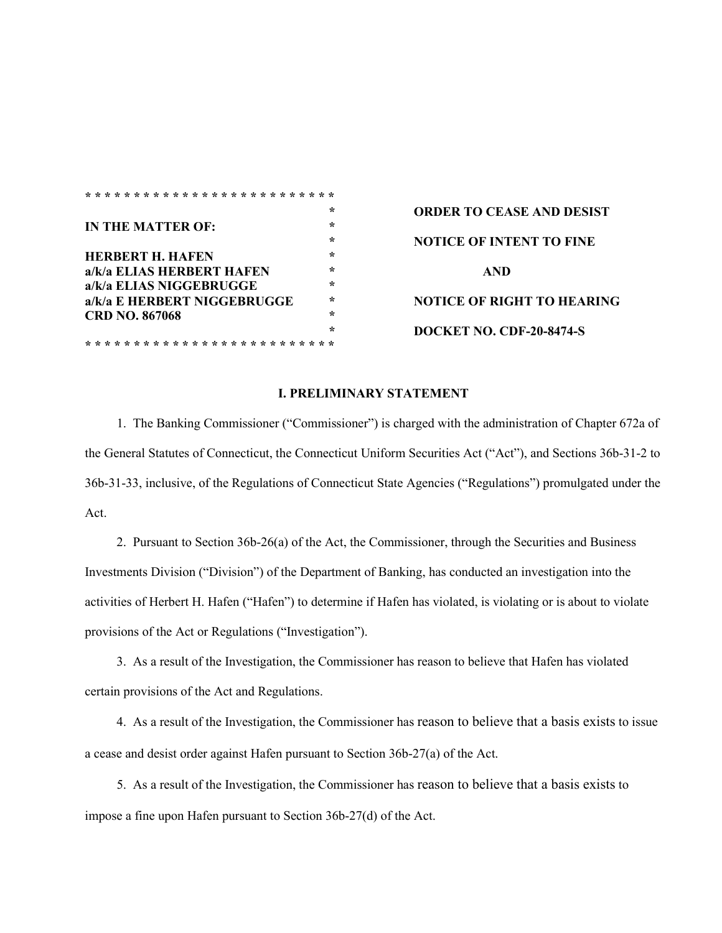| <b>ORDER TO CEA</b>  |
|----------------------|
|                      |
| <b>NOTICE OF INT</b> |
|                      |
| AND                  |
|                      |
| <b>NOTICE OF RIG</b> |
|                      |
| <b>DOCKET NO. CI</b> |
|                      |
|                      |

**\* ORDER TO CEASE AND DESIST \* NOTICE OF INTENT TO FINE NOTICE OF RIGHT TO HEARING \* DOCKET NO. CDF-20-8474-S**

#### **I. PRELIMINARY STATEMENT**

1. The Banking Commissioner ("Commissioner") is charged with the administration of Chapter 672a of the General Statutes of Connecticut, the Connecticut Uniform Securities Act ("Act"), and Sections 36b-31-2 to 36b-31-33, inclusive, of the Regulations of Connecticut State Agencies ("Regulations") promulgated under the Act.

2. Pursuant to Section 36b-26(a) of the Act, the Commissioner, through the Securities and Business Investments Division ("Division") of the Department of Banking, has conducted an investigation into the activities of Herbert H. Hafen ("Hafen") to determine if Hafen has violated, is violating or is about to violate provisions of the Act or Regulations ("Investigation").

3. As a result of the Investigation, the Commissioner has reason to believe that Hafen has violated certain provisions of the Act and Regulations.

4. As a result of the Investigation, the Commissioner has reason to believe that a basis exists to issue a cease and desist order against Hafen pursuant to Section 36b-27(a) of the Act.

5. As a result of the Investigation, the Commissioner has reason to believe that a basis exists to impose a fine upon Hafen pursuant to Section 36b-27(d) of the Act.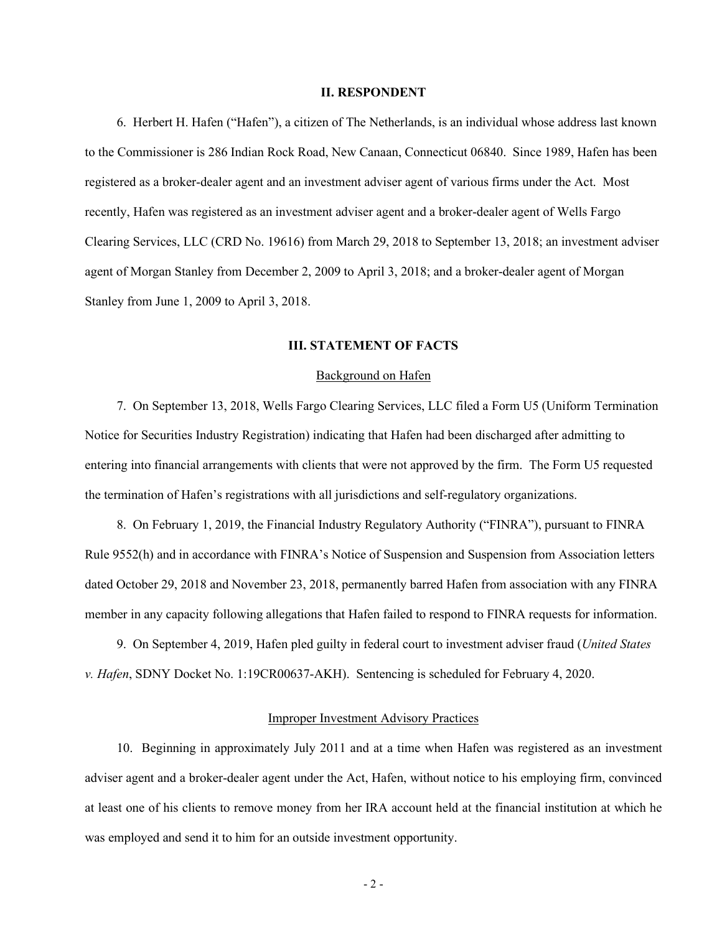#### **II. RESPONDENT**

6. Herbert H. Hafen ("Hafen"), a citizen of The Netherlands, is an individual whose address last known to the Commissioner is 286 Indian Rock Road, New Canaan, Connecticut 06840. Since 1989, Hafen has been registered as a broker-dealer agent and an investment adviser agent of various firms under the Act. Most recently, Hafen was registered as an investment adviser agent and a broker-dealer agent of Wells Fargo Clearing Services, LLC (CRD No. 19616) from March 29, 2018 to September 13, 2018; an investment adviser agent of Morgan Stanley from December 2, 2009 to April 3, 2018; and a broker-dealer agent of Morgan Stanley from June 1, 2009 to April 3, 2018.

#### **III. STATEMENT OF FACTS**

### Background on Hafen

7. On September 13, 2018, Wells Fargo Clearing Services, LLC filed a Form U5 (Uniform Termination Notice for Securities Industry Registration) indicating that Hafen had been discharged after admitting to entering into financial arrangements with clients that were not approved by the firm. The Form U5 requested the termination of Hafen's registrations with all jurisdictions and self-regulatory organizations.

8. On February 1, 2019, the Financial Industry Regulatory Authority ("FINRA"), pursuant to FINRA Rule 9552(h) and in accordance with FINRA's Notice of Suspension and Suspension from Association letters dated October 29, 2018 and November 23, 2018, permanently barred Hafen from association with any FINRA member in any capacity following allegations that Hafen failed to respond to FINRA requests for information.

9. On September 4, 2019, Hafen pled guilty in federal court to investment adviser fraud (*United States v. Hafen*, SDNY Docket No. 1:19CR00637-AKH). Sentencing is scheduled for February 4, 2020.

#### Improper Investment Advisory Practices

10. Beginning in approximately July 2011 and at a time when Hafen was registered as an investment adviser agent and a broker-dealer agent under the Act, Hafen, without notice to his employing firm, convinced at least one of his clients to remove money from her IRA account held at the financial institution at which he was employed and send it to him for an outside investment opportunity.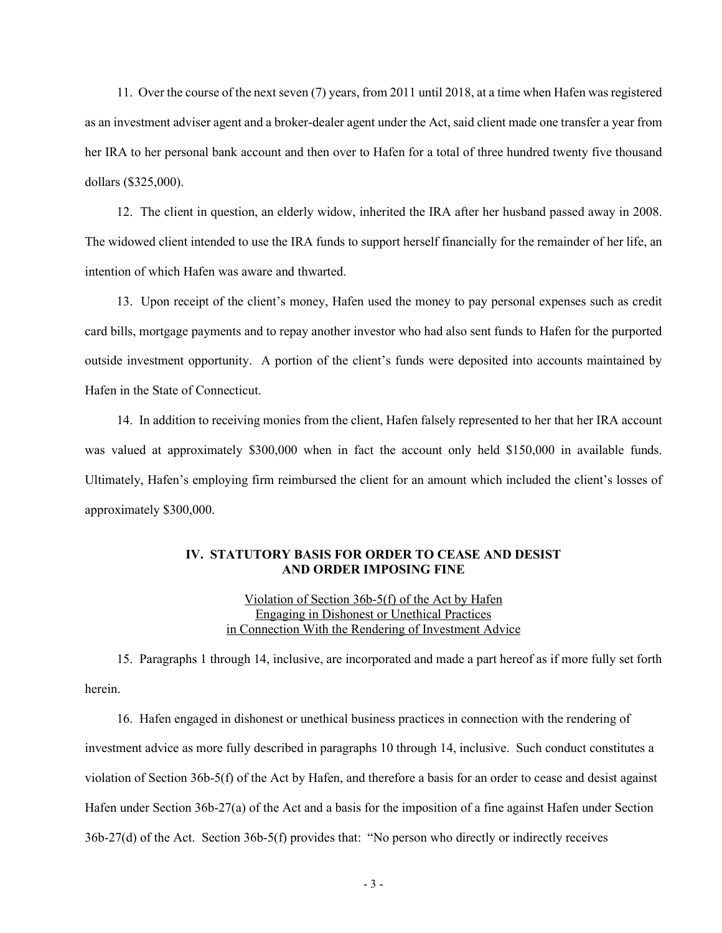11. Over the course of the next seven (7) years, from 2011 until 2018, at a time when Hafen was registered as an investment adviser agent and a broker-dealer agent under the Act, said client made one transfer a year from her IRA to her personal bank account and then over to Hafen for a total of three hundred twenty five thousand dollars (\$325,000).

12. The client in question, an elderly widow, inherited the IRA after her husband passed away in 2008. The widowed client intended to use the IRA funds to support herself financially for the remainder of her life, an intention of which Hafen was aware and thwarted.

13. Upon receipt of the client's money, Hafen used the money to pay personal expenses such as credit card bills, mortgage payments and to repay another investor who had also sent funds to Hafen for the purported outside investment opportunity. A portion of the client's funds were deposited into accounts maintained by Hafen in the State of Connecticut.

14. In addition to receiving monies from the client, Hafen falsely represented to her that her IRA account was valued at approximately \$300,000 when in fact the account only held \$150,000 in available funds. Ultimately, Hafen's employing firm reimbursed the client for an amount which included the client's losses of approximately \$300,000.

# **IV. STATUTORY BASIS FOR ORDER TO CEASE AND DESIST AND ORDER IMPOSING FINE**

# Violation of Section 36b-5(f) of the Act by Hafen Engaging in Dishonest or Unethical Practices in Connection With the Rendering of Investment Advice

15. Paragraphs 1 through 14, inclusive, are incorporated and made a part hereof as if more fully set forth herein.

16. Hafen engaged in dishonest or unethical business practices in connection with the rendering of investment advice as more fully described in paragraphs 10 through 14, inclusive. Such conduct constitutes a violation of Section 36b-5(f) of the Act by Hafen, and therefore a basis for an order to cease and desist against Hafen under Section 36b-27(a) of the Act and a basis for the imposition of a fine against Hafen under Section 36b-27(d) of the Act. Section 36b-5(f) provides that: "No person who directly or indirectly receives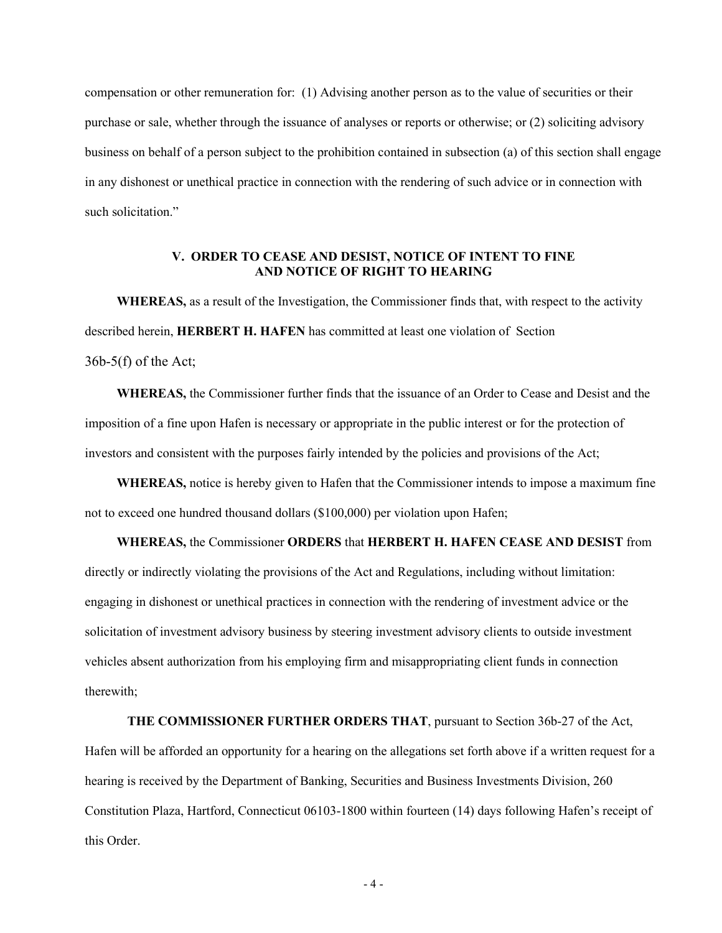compensation or other remuneration for: (1) Advising another person as to the value of securities or their purchase or sale, whether through the issuance of analyses or reports or otherwise; or (2) soliciting advisory business on behalf of a person subject to the prohibition contained in subsection (a) of this section shall engage in any dishonest or unethical practice in connection with the rendering of such advice or in connection with such solicitation."

# **V. ORDER TO CEASE AND DESIST, NOTICE OF INTENT TO FINE AND NOTICE OF RIGHT TO HEARING**

**WHEREAS,** as a result of the Investigation, the Commissioner finds that, with respect to the activity described herein, **HERBERT H. HAFEN** has committed at least one violation of Section  $36b-5(f)$  of the Act;

**WHEREAS,** the Commissioner further finds that the issuance of an Order to Cease and Desist and the imposition of a fine upon Hafen is necessary or appropriate in the public interest or for the protection of investors and consistent with the purposes fairly intended by the policies and provisions of the Act;

**WHEREAS,** notice is hereby given to Hafen that the Commissioner intends to impose a maximum fine not to exceed one hundred thousand dollars (\$100,000) per violation upon Hafen;

### **WHEREAS,** the Commissioner **ORDERS** that **HERBERT H. HAFEN CEASE AND DESIST** from

directly or indirectly violating the provisions of the Act and Regulations, including without limitation: engaging in dishonest or unethical practices in connection with the rendering of investment advice or the solicitation of investment advisory business by steering investment advisory clients to outside investment vehicles absent authorization from his employing firm and misappropriating client funds in connection therewith;

#### **THE COMMISSIONER FURTHER ORDERS THAT**, pursuant to Section 36b-27 of the Act,

Hafen will be afforded an opportunity for a hearing on the allegations set forth above if a written request for a hearing is received by the Department of Banking, Securities and Business Investments Division, 260 Constitution Plaza, Hartford, Connecticut 06103-1800 within fourteen (14) days following Hafen's receipt of this Order.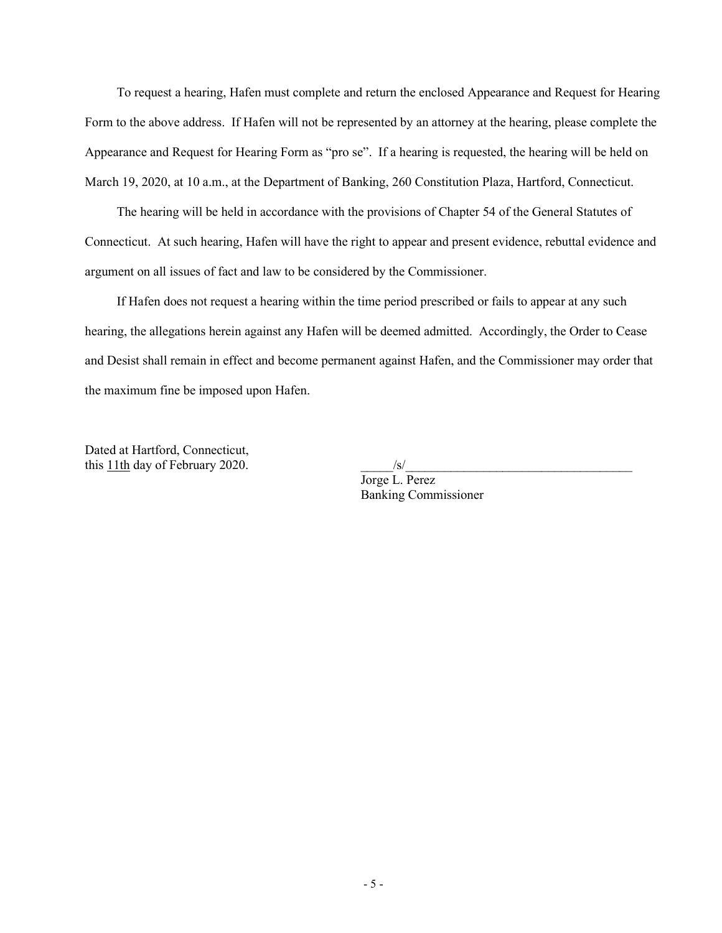To request a hearing, Hafen must complete and return the enclosed Appearance and Request for Hearing Form to the above address. If Hafen will not be represented by an attorney at the hearing, please complete the Appearance and Request for Hearing Form as "pro se". If a hearing is requested, the hearing will be held on March 19, 2020, at 10 a.m., at the Department of Banking, 260 Constitution Plaza, Hartford, Connecticut.

The hearing will be held in accordance with the provisions of Chapter 54 of the General Statutes of Connecticut. At such hearing, Hafen will have the right to appear and present evidence, rebuttal evidence and argument on all issues of fact and law to be considered by the Commissioner.

If Hafen does not request a hearing within the time period prescribed or fails to appear at any such hearing, the allegations herein against any Hafen will be deemed admitted. Accordingly, the Order to Cease and Desist shall remain in effect and become permanent against Hafen, and the Commissioner may order that the maximum fine be imposed upon Hafen.

Dated at Hartford, Connecticut, this  $11$ th day of February 2020.  $\frac{|s|}{\sqrt{2}}$ 

Jorge L. Perez Banking Commissioner